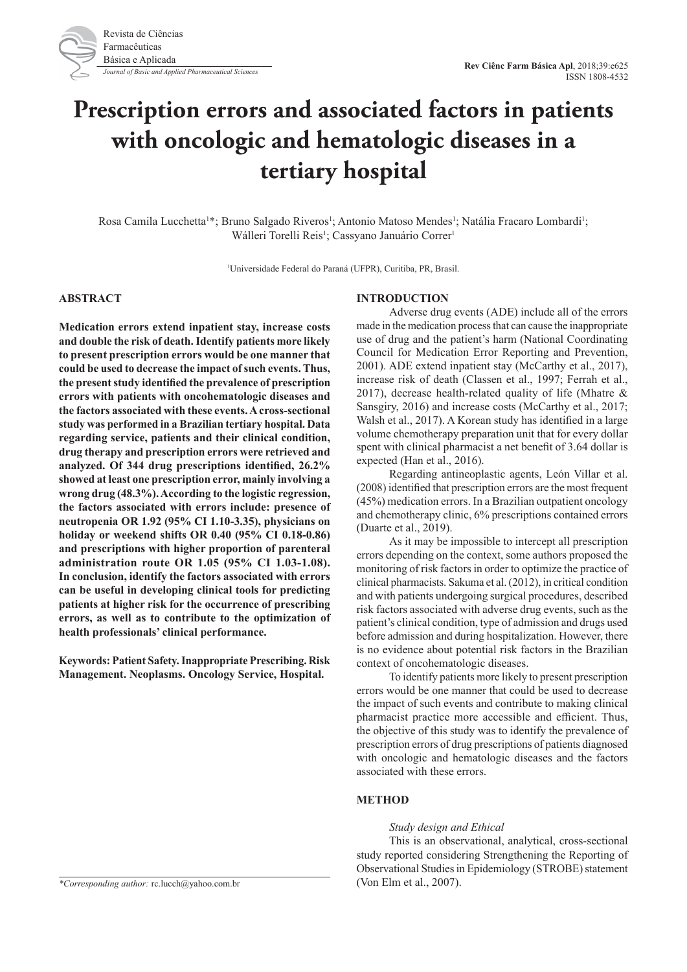

# **Prescription errors and associated factors in patients with oncologic and hematologic diseases in a tertiary hospital**

Rosa Camila Lucchetta<sup>1\*</sup>; Bruno Salgado Riveros<sup>1</sup>; Antonio Matoso Mendes<sup>1</sup>; Natália Fracaro Lombardi<sup>1</sup>; Wálleri Torelli Reis<sup>1</sup>; Cassyano Januário Correr<sup>1</sup>

1 Universidade Federal do Paraná (UFPR), Curitiba, PR, Brasil.

# **ABSTRACT**

**Medication errors extend inpatient stay, increase costs and double the risk of death. Identify patients more likely to present prescription errors would be one manner that could be used to decrease the impact of such events. Thus, the present study identified the prevalence of prescription errors with patients with oncohematologic diseases and the factors associated with these events. A cross-sectional study was performed in a Brazilian tertiary hospital. Data regarding service, patients and their clinical condition, drug therapy and prescription errors were retrieved and analyzed. Of 344 drug prescriptions identified, 26.2% showed at least one prescription error, mainly involving a wrong drug (48.3%). According to the logistic regression, the factors associated with errors include: presence of neutropenia OR 1.92 (95% CI 1.10-3.35), physicians on holiday or weekend shifts OR 0.40 (95% CI 0.18-0.86) and prescriptions with higher proportion of parenteral administration route OR 1.05 (95% CI 1.03-1.08). In conclusion, identify the factors associated with errors can be useful in developing clinical tools for predicting patients at higher risk for the occurrence of prescribing errors, as well as to contribute to the optimization of health professionals' clinical performance.**

**Keywords: Patient Safety. Inappropriate Prescribing. Risk Management. Neoplasms. Oncology Service, Hospital.**

## **INTRODUCTION**

Adverse drug events (ADE) include all of the errors made in the medication process that can cause the inappropriate use of drug and the patient's harm (National Coordinating Council for Medication Error Reporting and Prevention, 2001). ADE extend inpatient stay (McCarthy et al., 2017), increase risk of death (Classen et al., 1997; Ferrah et al., 2017), decrease health-related quality of life (Mhatre & Sansgiry, 2016) and increase costs (McCarthy et al., 2017; Walsh et al., 2017). A Korean study has identified in a large volume chemotherapy preparation unit that for every dollar spent with clinical pharmacist a net benefit of 3.64 dollar is expected (Han et al., 2016).

Regarding antineoplastic agents, León Villar et al. (2008) identified that prescription errors are the most frequent (45%) medication errors. In a Brazilian outpatient oncology and chemotherapy clinic, 6% prescriptions contained errors (Duarte et al., 2019).

As it may be impossible to intercept all prescription errors depending on the context, some authors proposed the monitoring of risk factors in order to optimize the practice of clinical pharmacists. Sakuma et al. (2012), in critical condition and with patients undergoing surgical procedures, described risk factors associated with adverse drug events, such as the patient's clinical condition, type of admission and drugs used before admission and during hospitalization. However, there is no evidence about potential risk factors in the Brazilian context of oncohematologic diseases.

To identify patients more likely to present prescription errors would be one manner that could be used to decrease the impact of such events and contribute to making clinical pharmacist practice more accessible and efficient. Thus, the objective of this study was to identify the prevalence of prescription errors of drug prescriptions of patients diagnosed with oncologic and hematologic diseases and the factors associated with these errors.

# **METHOD**

#### *Study design and Ethical*

This is an observational, analytical, cross-sectional study reported considering Strengthening the Reporting of Observational Studies in Epidemiology (STROBE) statement

*\*Corresponding author:* rc.lucch@yahoo.com.br (Von Elm et al., 2007).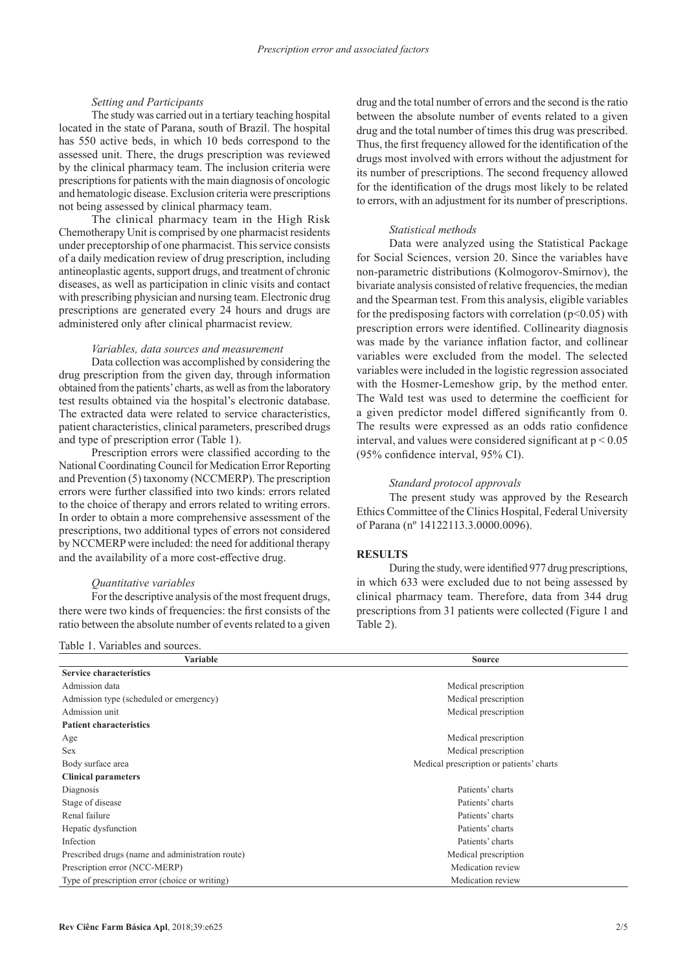### *Setting and Participants*

The study was carried out in a tertiary teaching hospital located in the state of Parana, south of Brazil. The hospital has 550 active beds, in which 10 beds correspond to the assessed unit. There, the drugs prescription was reviewed by the clinical pharmacy team. The inclusion criteria were prescriptions for patients with the main diagnosis of oncologic and hematologic disease. Exclusion criteria were prescriptions not being assessed by clinical pharmacy team.

The clinical pharmacy team in the High Risk Chemotherapy Unit is comprised by one pharmacist residents under preceptorship of one pharmacist. This service consists of a daily medication review of drug prescription, including antineoplastic agents, support drugs, and treatment of chronic diseases, as well as participation in clinic visits and contact with prescribing physician and nursing team. Electronic drug prescriptions are generated every 24 hours and drugs are administered only after clinical pharmacist review.

#### *Variables, data sources and measurement*

Data collection was accomplished by considering the drug prescription from the given day, through information obtained from the patients' charts, as well as from the laboratory test results obtained via the hospital's electronic database. The extracted data were related to service characteristics, patient characteristics, clinical parameters, prescribed drugs and type of prescription error (Table 1).

Prescription errors were classified according to the National Coordinating Council for Medication Error Reporting and Prevention (5) taxonomy (NCCMERP). The prescription errors were further classified into two kinds: errors related to the choice of therapy and errors related to writing errors. In order to obtain a more comprehensive assessment of the prescriptions, two additional types of errors not considered by NCCMERP were included: the need for additional therapy and the availability of a more cost-effective drug.

# *Quantitative variables*

Table 1. Variables and sources.

For the descriptive analysis of the most frequent drugs, there were two kinds of frequencies: the first consists of the ratio between the absolute number of events related to a given

drug and the total number of errors and the second is the ratio between the absolute number of events related to a given drug and the total number of times this drug was prescribed. Thus, the first frequency allowed for the identification of the drugs most involved with errors without the adjustment for its number of prescriptions. The second frequency allowed for the identification of the drugs most likely to be related to errors, with an adjustment for its number of prescriptions.

### *Statistical methods*

Data were analyzed using the Statistical Package for Social Sciences, version 20. Since the variables have non-parametric distributions (Kolmogorov-Smirnov), the bivariate analysis consisted of relative frequencies, the median and the Spearman test. From this analysis, eligible variables for the predisposing factors with correlation ( $p<0.05$ ) with prescription errors were identified. Collinearity diagnosis was made by the variance inflation factor, and collinear variables were excluded from the model. The selected variables were included in the logistic regression associated with the Hosmer-Lemeshow grip, by the method enter. The Wald test was used to determine the coefficient for a given predictor model differed significantly from 0. The results were expressed as an odds ratio confidence interval, and values were considered significant at  $p \le 0.05$ (95% confidence interval, 95% CI).

#### *Standard protocol approvals*

The present study was approved by the Research Ethics Committee of the Clinics Hospital, Federal University of Parana (nº 14122113.3.0000.0096).

## **RESULTS**

During the study, were identified 977 drug prescriptions, in which 633 were excluded due to not being assessed by clinical pharmacy team. Therefore, data from 344 drug prescriptions from 31 patients were collected (Figure 1 and Table 2).

| Variable                                         | <b>Source</b>                            |
|--------------------------------------------------|------------------------------------------|
| <b>Service characteristics</b>                   |                                          |
| Admission data                                   | Medical prescription                     |
| Admission type (scheduled or emergency)          | Medical prescription                     |
| Admission unit                                   | Medical prescription                     |
| <b>Patient characteristics</b>                   |                                          |
| Age                                              | Medical prescription                     |
| <b>Sex</b>                                       | Medical prescription                     |
| Body surface area                                | Medical prescription or patients' charts |
| <b>Clinical parameters</b>                       |                                          |
| Diagnosis                                        | Patients' charts                         |
| Stage of disease                                 | Patients' charts                         |
| Renal failure                                    | Patients' charts                         |
| Hepatic dysfunction                              | Patients' charts                         |
| Infection                                        | Patients' charts                         |
| Prescribed drugs (name and administration route) | Medical prescription                     |
| Prescription error (NCC-MERP)                    | Medication review                        |
| Type of prescription error (choice or writing)   | Medication review                        |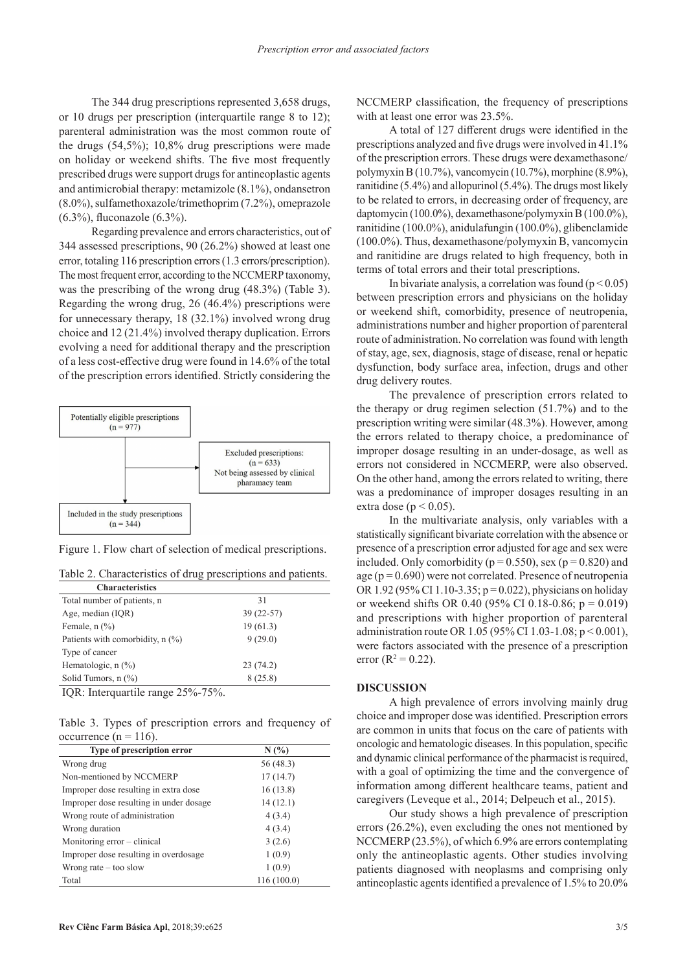The 344 drug prescriptions represented 3,658 drugs, or 10 drugs per prescription (interquartile range 8 to 12); parenteral administration was the most common route of the drugs (54,5%); 10,8% drug prescriptions were made on holiday or weekend shifts. The five most frequently prescribed drugs were support drugs for antineoplastic agents and antimicrobial therapy: metamizole (8.1%), ondansetron (8.0%), sulfamethoxazole/trimethoprim (7.2%), omeprazole (6.3%), fluconazole (6.3%).

Regarding prevalence and errors characteristics, out of 344 assessed prescriptions, 90 (26.2%) showed at least one error, totaling 116 prescription errors (1.3 errors/prescription). The most frequent error, according to the NCCMERP taxonomy, was the prescribing of the wrong drug (48.3%) (Table 3). Regarding the wrong drug, 26 (46.4%) prescriptions were for unnecessary therapy, 18 (32.1%) involved wrong drug choice and 12 (21.4%) involved therapy duplication. Errors evolving a need for additional therapy and the prescription of a less cost-effective drug were found in 14.6% of the total of the prescription errors identified. Strictly considering the



Figure 1. Flow chart of selection of medical prescriptions.

|  |  |  | Table 2. Characteristics of drug prescriptions and patients. |  |
|--|--|--|--------------------------------------------------------------|--|
|  |  |  |                                                              |  |

| Characteristics                    |             |  |
|------------------------------------|-------------|--|
| Total number of patients, n        | 31          |  |
| Age, median (IQR)                  | $39(22-57)$ |  |
| Female, $n$ $(\%)$                 | 19(61.3)    |  |
| Patients with comorbidity, $n$ (%) | 9(29.0)     |  |
| Type of cancer                     |             |  |
| Hematologic, $n$ $(\%)$            | 23(74.2)    |  |
| Solid Tumors, n (%)                | 8(25.8)     |  |
|                                    |             |  |

IQR: Interquartile range 25%-75%.

Table 3. Types of prescription errors and frequency of occurrence ( $n = 116$ ).

| Type of prescription error              | N(%)        |
|-----------------------------------------|-------------|
| Wrong drug                              | 56 (48.3)   |
| Non-mentioned by NCCMERP                | 17(14.7)    |
| Improper dose resulting in extra dose   | 16(13.8)    |
| Improper dose resulting in under dosage | 14(12.1)    |
| Wrong route of administration           | 4(3.4)      |
| Wrong duration                          | 4(3.4)      |
| Monitoring error – clinical             | 3(2.6)      |
| Improper dose resulting in overdosage   | 1(0.9)      |
| Wrong rate $-$ too slow                 | 1(0.9)      |
| Total                                   | 116 (100.0) |

NCCMERP classification, the frequency of prescriptions with at least one error was 23.5%.

A total of 127 different drugs were identified in the prescriptions analyzed and five drugs were involved in 41.1% of the prescription errors. These drugs were dexamethasone/ polymyxin B (10.7%), vancomycin (10.7%), morphine (8.9%), ranitidine (5.4%) and allopurinol (5.4%). The drugs most likely to be related to errors, in decreasing order of frequency, are daptomycin (100.0%), dexamethasone/polymyxin B (100.0%), ranitidine (100.0%), anidulafungin (100.0%), glibenclamide (100.0%). Thus, dexamethasone/polymyxin B, vancomycin and ranitidine are drugs related to high frequency, both in terms of total errors and their total prescriptions.

In bivariate analysis, a correlation was found  $(p < 0.05)$ between prescription errors and physicians on the holiday or weekend shift, comorbidity, presence of neutropenia, administrations number and higher proportion of parenteral route of administration. No correlation was found with length of stay, age, sex, diagnosis, stage of disease, renal or hepatic dysfunction, body surface area, infection, drugs and other drug delivery routes.

The prevalence of prescription errors related to the therapy or drug regimen selection (51.7%) and to the prescription writing were similar (48.3%). However, among the errors related to therapy choice, a predominance of improper dosage resulting in an under-dosage, as well as errors not considered in NCCMERP, were also observed. On the other hand, among the errors related to writing, there was a predominance of improper dosages resulting in an extra dose ( $p < 0.05$ ).

In the multivariate analysis, only variables with a statistically significant bivariate correlation with the absence or presence of a prescription error adjusted for age and sex were included. Only comorbidity ( $p = 0.550$ ), sex ( $p = 0.820$ ) and age ( $p = 0.690$ ) were not correlated. Presence of neutropenia OR 1.92 (95% CI 1.10-3.35;  $p = 0.022$ ), physicians on holiday or weekend shifts OR 0.40 (95% CI 0.18-0.86;  $p = 0.019$ ) and prescriptions with higher proportion of parenteral administration route OR 1.05 (95% CI 1.03-1.08; p < 0.001), were factors associated with the presence of a prescription error ( $R^2 = 0.22$ ).

## **DISCUSSION**

A high prevalence of errors involving mainly drug choice and improper dose was identified. Prescription errors are common in units that focus on the care of patients with oncologic and hematologic diseases. In this population, specific and dynamic clinical performance of the pharmacist is required, with a goal of optimizing the time and the convergence of information among different healthcare teams, patient and caregivers (Leveque et al., 2014; Delpeuch et al., 2015).

Our study shows a high prevalence of prescription errors (26.2%), even excluding the ones not mentioned by NCCMERP (23.5%), of which 6.9% are errors contemplating only the antineoplastic agents. Other studies involving patients diagnosed with neoplasms and comprising only antineoplastic agents identified a prevalence of 1.5% to 20.0%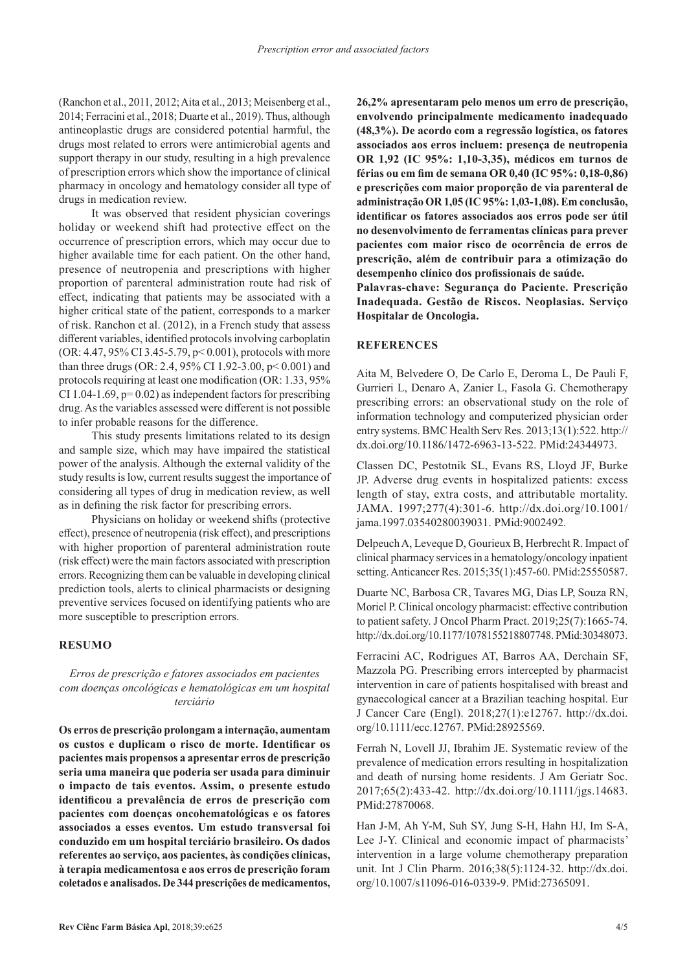(Ranchon et al., 2011, 2012; Aita et al., 2013; Meisenberg et al., 2014; Ferracini et al., 2018; Duarte et al., 2019). Thus, although antineoplastic drugs are considered potential harmful, the drugs most related to errors were antimicrobial agents and support therapy in our study, resulting in a high prevalence of prescription errors which show the importance of clinical pharmacy in oncology and hematology consider all type of drugs in medication review.

It was observed that resident physician coverings holiday or weekend shift had protective effect on the occurrence of prescription errors, which may occur due to higher available time for each patient. On the other hand, presence of neutropenia and prescriptions with higher proportion of parenteral administration route had risk of effect, indicating that patients may be associated with a higher critical state of the patient, corresponds to a marker of risk. Ranchon et al. (2012), in a French study that assess different variables, identified protocols involving carboplatin (OR: 4.47, 95% CI 3.45-5.79, p< 0.001), protocols with more than three drugs (OR: 2.4, 95% CI 1.92-3.00, p< 0.001) and protocols requiring at least one modification (OR: 1.33, 95% CI 1.04-1.69,  $p=0.02$ ) as independent factors for prescribing drug. As the variables assessed were different is not possible to infer probable reasons for the difference.

This study presents limitations related to its design and sample size, which may have impaired the statistical power of the analysis. Although the external validity of the study results is low, current results suggest the importance of considering all types of drug in medication review, as well as in defining the risk factor for prescribing errors.

Physicians on holiday or weekend shifts (protective effect), presence of neutropenia (risk effect), and prescriptions with higher proportion of parenteral administration route (risk effect) were the main factors associated with prescription errors. Recognizing them can be valuable in developing clinical prediction tools, alerts to clinical pharmacists or designing preventive services focused on identifying patients who are more susceptible to prescription errors.

### **RESUMO**

## *Erros de prescrição e fatores associados em pacientes com doenças oncológicas e hematológicas em um hospital terciário*

**Os erros de prescrição prolongam a internação, aumentam os custos e duplicam o risco de morte. Identificar os pacientes mais propensos a apresentar erros de prescrição seria uma maneira que poderia ser usada para diminuir o impacto de tais eventos. Assim, o presente estudo identificou a prevalência de erros de prescrição com pacientes com doenças oncohematológicas e os fatores associados a esses eventos. Um estudo transversal foi conduzido em um hospital terciário brasileiro. Os dados referentes ao serviço, aos pacientes, às condições clínicas, à terapia medicamentosa e aos erros de prescrição foram coletados e analisados. De 344 prescrições de medicamentos,** 

**26,2% apresentaram pelo menos um erro de prescrição, envolvendo principalmente medicamento inadequado (48,3%). De acordo com a regressão logística, os fatores associados aos erros incluem: presença de neutropenia OR 1,92 (IC 95%: 1,10-3,35), médicos em turnos de férias ou em fim de semana OR 0,40 (IC 95%: 0,18-0,86) e prescrições com maior proporção de via parenteral de administração OR 1,05 (IC 95%: 1,03-1,08). Em conclusão, identificar os fatores associados aos erros pode ser útil no desenvolvimento de ferramentas clínicas para prever pacientes com maior risco de ocorrência de erros de prescrição, além de contribuir para a otimização do desempenho clínico dos profissionais de saúde.**

**Palavras-chave: Segurança do Paciente. Prescrição Inadequada. Gestão de Riscos. Neoplasias. Serviço Hospitalar de Oncologia.**

## **REFERENCES**

Aita M, Belvedere O, De Carlo E, Deroma L, De Pauli F, Gurrieri L, Denaro A, Zanier L, Fasola G. Chemotherapy prescribing errors: an observational study on the role of information technology and computerized physician order entry systems. BMC Health Serv Res. 2013;13(1):522. [http://](https://doi.org/10.1186/1472-6963-13-522) [dx.doi.org/10.1186/1472-6963-13-522.](https://doi.org/10.1186/1472-6963-13-522) [PMid:24344973.](https://www.ncbi.nlm.nih.gov/entrez/query.fcgi?cmd=Retrieve&db=PubMed&list_uids=24344973&dopt=Abstract)

Classen DC, Pestotnik SL, Evans RS, Lloyd JF, Burke JP. Adverse drug events in hospitalized patients: excess length of stay, extra costs, and attributable mortality. JAMA. 1997;277(4):301-6. [http://dx.doi.org/10.1001/](https://doi.org/10.1001/jama.1997.03540280039031) [jama.1997.03540280039031](https://doi.org/10.1001/jama.1997.03540280039031). [PMid:9002492.](https://www.ncbi.nlm.nih.gov/entrez/query.fcgi?cmd=Retrieve&db=PubMed&list_uids=9002492&dopt=Abstract)

Delpeuch A, Leveque D, Gourieux B, Herbrecht R. Impact of clinical pharmacy services in a hematology/oncology inpatient setting. Anticancer Res. 2015;35(1):457-60[. PMid:25550587.](https://www.ncbi.nlm.nih.gov/entrez/query.fcgi?cmd=Retrieve&db=PubMed&list_uids=25550587&dopt=Abstract)

Duarte NC, Barbosa CR, Tavares MG, Dias LP, Souza RN, Moriel P. Clinical oncology pharmacist: effective contribution to patient safety. J Oncol Pharm Pract. 2019;25(7):1665-74. [http://dx.doi.org/10.1177/1078155218807748.](https://doi.org/10.1177/1078155218807748) [PMid:30348073.](https://www.ncbi.nlm.nih.gov/entrez/query.fcgi?cmd=Retrieve&db=PubMed&list_uids=30348073&dopt=Abstract)

Ferracini AC, Rodrigues AT, Barros AA, Derchain SF, Mazzola PG. Prescribing errors intercepted by pharmacist intervention in care of patients hospitalised with breast and gynaecological cancer at a Brazilian teaching hospital. Eur J Cancer Care (Engl). 2018;27(1):e12767. [http://dx.doi.](https://doi.org/10.1111/ecc.12767) [org/10.1111/ecc.12767](https://doi.org/10.1111/ecc.12767)[. PMid:28925569.](https://www.ncbi.nlm.nih.gov/entrez/query.fcgi?cmd=Retrieve&db=PubMed&list_uids=28925569&dopt=Abstract)

Ferrah N, Lovell JJ, Ibrahim JE. Systematic review of the prevalence of medication errors resulting in hospitalization and death of nursing home residents. J Am Geriatr Soc. 2017;65(2):433-42. [http://dx.doi.org/10.1111/jgs.14683.](https://doi.org/10.1111/jgs.14683) [PMid:27870068.](https://www.ncbi.nlm.nih.gov/entrez/query.fcgi?cmd=Retrieve&db=PubMed&list_uids=27870068&dopt=Abstract)

Han J-M, Ah Y-M, Suh SY, Jung S-H, Hahn HJ, Im S-A, Lee J-Y. Clinical and economic impact of pharmacists' intervention in a large volume chemotherapy preparation unit. Int J Clin Pharm. 2016;38(5):1124-32. [http://dx.doi.](https://doi.org/10.1007/s11096-016-0339-9) [org/10.1007/s11096-016-0339-9.](https://doi.org/10.1007/s11096-016-0339-9) [PMid:27365091.](https://www.ncbi.nlm.nih.gov/entrez/query.fcgi?cmd=Retrieve&db=PubMed&list_uids=27365091&dopt=Abstract)